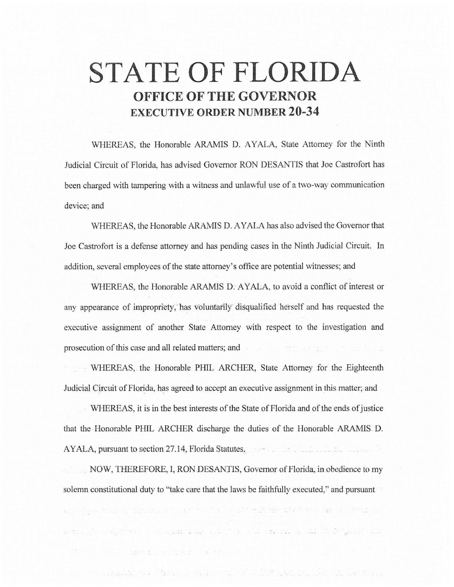## **STATE OF FLORIDA OFFICE OF THE GOVERNOR EXECUTIVE ORDER NUMBER 20-34**

WHEREAS, the Honorable ARAMIS D. AYALA, State Attorney for the Ninth Judicial Circuit of Florida, has advised Governor RON DESANTIS that Joe Castrofort has been charged with tampering with a witness and unlawful use of a two-way communication device; and

WHEREAS, the Honorable ARAMIS D. AYALA has also advised the Governor that Joe Castrofort is a defense attorney and has pending cases in the Ninth Judicial Circuit. ln addition, several employees of the state attorney's office are potential witnesses; and

WHEREAS, the Honorable ARAMIS D. AYALA, to avoid a conflict of interest or any appearance of impropriety, has voluntarily- disqualified herself and has requested the executive assignment of another State Attorney with respect to the investigation and prosecution of this case and all related matters; and

WHEREAS, the Honorable PHIL ARCHER, State Attorney for the Eighteenth Judicial Circuit of Florida, has agreed to accept an executive assignment in this matter; and

WHEREAS, it is in the best interests of the State of Florida and of the ends of justice that the Honorable PHIL ARCHER discharge the duties of the Honorable AR.AMIS D. AYALA, pursuant to section 27 .14, Florida Statutes,

. NOW, THEREFORE, I, RON DESANTIS, Governor of Florida, in obedience to my solemn constitutional duty to "take care that the laws be faithfully executed," and pursuant

as a good most of specially can in the Constitution state of an under second inter-

r til 1993 forsk forskellige state og de state i den state state som som for de state som som som som

are in the signal we shall be the second to the second the the second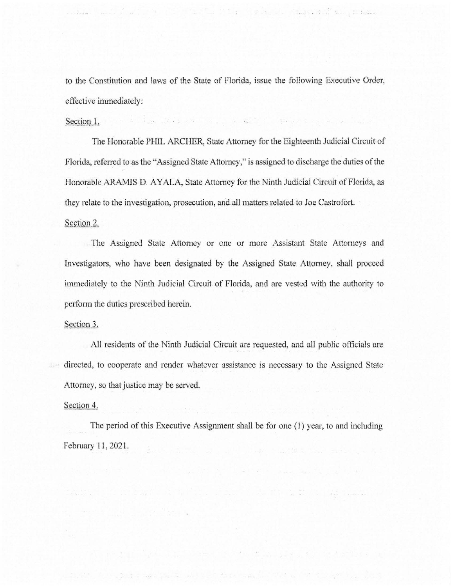to the Constitution and laws of the State of Florida, issue the following Executive Order, effective immediately:

of the second second community of the second second second community of the second second second community of the second second second second second second second second second second second second second second second sec

a di Kabupatén Kabupatén Tinggal di Kabupatén Kabupatén Kabupatén Kabupatén Kabupatén Kabupatén Kabu

## Section 1.

The Honorable PHIL ARCHER, State Attorney for the Eighteenth Judicial Circuit of Florida, referred to as the "Assigned State Attorney," is assigned to discharge the duties of the Honorable ARAMIS D. AYALA, State Attorney for the Ninth Judicial Circuit of Florida, as they relate to the investigation, prosecution, and all matters related to Joe Castrofort. Section 2.

The Assigned State Attorney or one or more Assistant State Attorneys and Investigators, who have been designated by the Assigned State Attorney, shall proceed immediately to the Ninth Judicial Circuit of Florida, and are vested with the authority to perform the duties prescribed herein.

## Section 3.

All residents of the Ninth Judicial Circuit are requested, and all public officials are directed, to cooperate and render whatever assistance is necessary to the Assigned State Attorney, so that justice may be served.

## Section 4.

The period of this Executive Assignment shall be for one (1) year, to and including February 11, 2021.

TAP 그는 민준이는 누리 2의 그 나서 있어 좋습니다...(1973년 N 100 100 020 km 100

SECURICAL Las Island Correlate